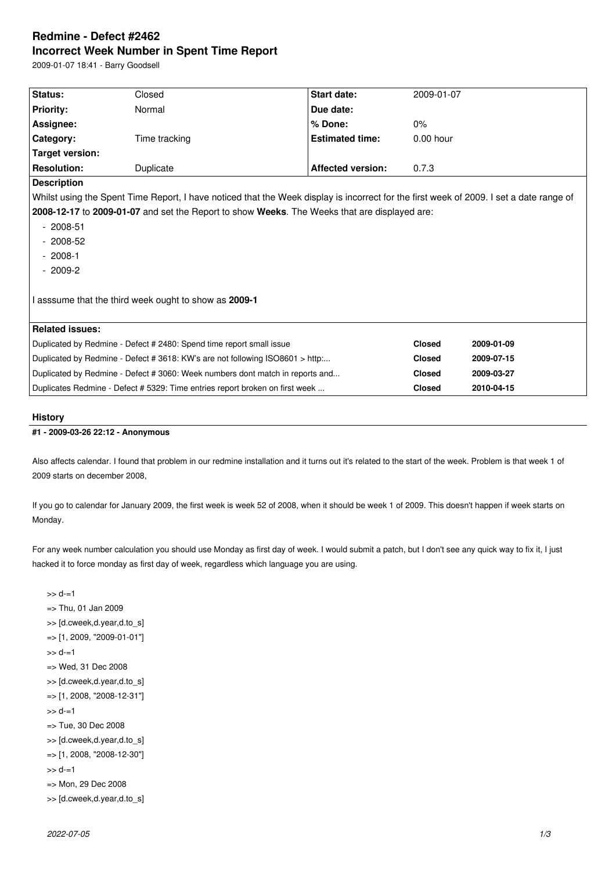# **Redmine - Defect #2462 Incorrect Week Number in Spent Time Report**

2009-01-07 18:41 - Barry Goodsell

| Status:                                                                                                                                 | Closed        | Start date:              | 2009-01-07    |            |
|-----------------------------------------------------------------------------------------------------------------------------------------|---------------|--------------------------|---------------|------------|
| <b>Priority:</b>                                                                                                                        | Normal        | Due date:                |               |            |
| Assignee:                                                                                                                               |               | % Done:                  | $0\%$         |            |
| Category:                                                                                                                               | Time tracking | <b>Estimated time:</b>   | $0.00$ hour   |            |
| Target version:                                                                                                                         |               |                          |               |            |
| <b>Resolution:</b>                                                                                                                      | Duplicate     | <b>Affected version:</b> | 0.7.3         |            |
| <b>Description</b>                                                                                                                      |               |                          |               |            |
| Whilst using the Spent Time Report, I have noticed that the Week display is incorrect for the first week of 2009. I set a date range of |               |                          |               |            |
| 2008-12-17 to 2009-01-07 and set the Report to show Weeks. The Weeks that are displayed are:                                            |               |                          |               |            |
| $-2008-51$                                                                                                                              |               |                          |               |            |
| $-2008-52$                                                                                                                              |               |                          |               |            |
| $-2008-1$                                                                                                                               |               |                          |               |            |
| $-2009-2$                                                                                                                               |               |                          |               |            |
|                                                                                                                                         |               |                          |               |            |
| I asssume that the third week ought to show as 2009-1                                                                                   |               |                          |               |            |
|                                                                                                                                         |               |                          |               |            |
| <b>Related issues:</b>                                                                                                                  |               |                          |               |            |
| Duplicated by Redmine - Defect # 2480: Spend time report small issue                                                                    |               |                          | <b>Closed</b> | 2009-01-09 |
| Duplicated by Redmine - Defect # 3618: KW's are not following ISO8601 > http:                                                           |               |                          | <b>Closed</b> | 2009-07-15 |
| Duplicated by Redmine - Defect # 3060: Week numbers dont match in reports and                                                           |               |                          | <b>Closed</b> | 2009-03-27 |
| Duplicates Redmine - Defect # 5329: Time entries report broken on first week                                                            |               |                          | <b>Closed</b> | 2010-04-15 |
|                                                                                                                                         |               |                          |               |            |

### **History**

### **#1 - 2009-03-26 22:12 - Anonymous**

Also affects calendar. I found that problem in our redmine installation and it turns out it's related to the start of the week. Problem is that week 1 of 2009 starts on december 2008,

If you go to calendar for January 2009, the first week is week 52 of 2008, when it should be week 1 of 2009. This doesn't happen if week starts on Monday.

For any week number calculation you should use Monday as first day of week. I would submit a patch, but I don't see any quick way to fix it, I just hacked it to force monday as first day of week, regardless which language you are using.

 $>> d=1$ => Thu, 01 Jan 2009 >> [d.cweek,d.year,d.to\_s] => [1, 2009, "2009-01-01"]  $>> d=1$ => Wed, 31 Dec 2008 >> [d.cweek,d.year,d.to\_s] => [1, 2008, "2008-12-31"]  $>> d=1$ => Tue, 30 Dec 2008 >> [d.cweek,d.year,d.to\_s] => [1, 2008, "2008-12-30"]  $>> d=1$ => Mon, 29 Dec 2008 >> [d.cweek,d.year,d.to\_s]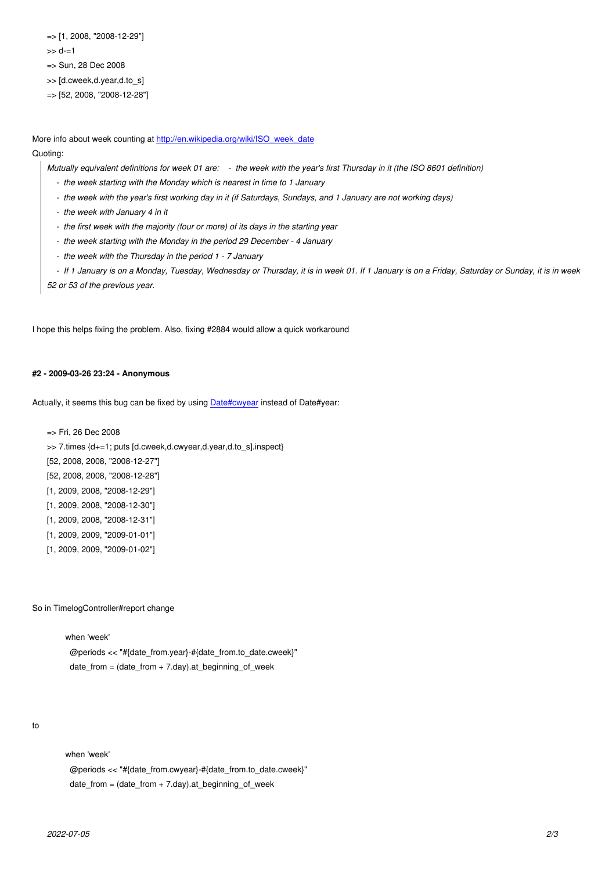>> d-=1

=> Sun, 28 Dec 2008

>> [d.cweek,d.year,d.to\_s]

=> [52, 2008, "2008-12-28"]

More info about week counting at http://en.wikipedia.org/wiki/ISO\_week\_date

## Quoting:

*Mutually equivalent definitions for week 01 are: - the week with the year's first Thursday in it (the ISO 8601 definition)*

- *the week starting with the Monday which is nearest in time to 1 January*
- *the week with the year's f[irst working day in it \(if Saturdays, Sundays,](http://en.wikipedia.org/wiki/ISO_week_date) and 1 January are not working days)*
- *the week with January 4 in it*
- *the first week with the majority (four or more) of its days in the starting year*
- *the week starting with the Monday in the period 29 December 4 January*
- *the week with the Thursday in the period 1 7 January*

 *- If 1 January is on a Monday, Tuesday, Wednesday or Thursday, it is in week 01. If 1 January is on a Friday, Saturday or Sunday, it is in week 52 or 53 of the previous year.*

I hope this helps fixing the problem. Also, fixing #2884 would allow a quick workaround

#### **#2 - 2009-03-26 23:24 - Anonymous**

Actually, it seems this bug can be fixed by using Date#cwyear instead of Date#year:

=> Fri, 26 Dec 2008 >> 7.times {d+=1; puts [d.cweek,d.cwyear,d.[year,d.to\\_s\].in](http://ruby-doc.org/stdlib/libdoc/date/rdoc/classes/Date.html#M000362)spect} [52, 2008, 2008, "2008-12-27"] [52, 2008, 2008, "2008-12-28"] [1, 2009, 2008, "2008-12-29"] [1, 2009, 2008, "2008-12-30"] [1, 2009, 2008, "2008-12-31"] [1, 2009, 2009, "2009-01-01"]

[1, 2009, 2009, "2009-01-02"]

So in TimelogController#report change

 when 'week' @periods << "#{date\_from.year}-#{date\_from.to\_date.cweek}" date\_from = (date\_from + 7.day).at\_beginning\_of\_week

#### to

when 'week'

 @periods << "#{date\_from.cwyear}-#{date\_from.to\_date.cweek}" date\_from = (date\_from + 7.day).at\_beginning\_of\_week